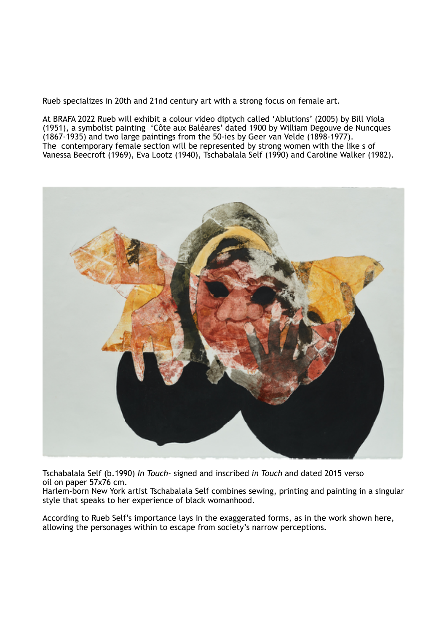Rueb specializes in 20th and 21nd century art with a strong focus on female art.

At BRAFA 2022 Rueb will exhibit a colour video diptych called 'Ablutions' (2005) by Bill Viola (1951), a symbolist painting 'Côte aux Baléares' dated 1900 by William Degouve de Nuncques (1867-1935) and two large paintings from the 50-ies by Geer van Velde (1898-1977). The contemporary female section will be represented by strong women with the like s of Vanessa Beecroft (1969), Eva Lootz (1940), Tschabalala Self (1990) and Caroline Walker (1982).



Tschabalala Self (b.1990) *In Touch-* signed and inscribed *in Touch* and dated 2015 verso oil on paper 57x76 cm.

Harlem-born New York artist Tschabalala Self combines sewing, printing and painting in a singular style that speaks to her experience of black womanhood.

According to Rueb Self's importance lays in the exaggerated forms, as in the work shown here, allowing the personages within to escape from society's narrow perceptions.